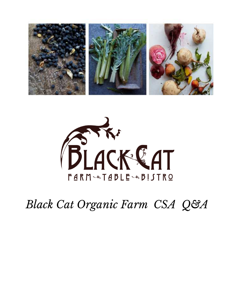



# *Black Cat Organic Farm CSA Q&A*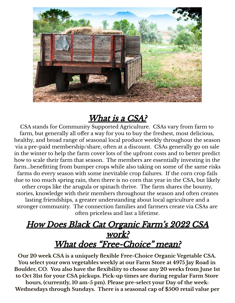

# What is a CSA?

CSA stands for Community Supported Agriculture. CSAs vary from farm to farm, but generally all offer a way for you to buy the freshest, most delicious, healthy, and broad range of seasonal local produce weekly throughout the season via a pre-paid membership/share, often at a discount. CSAs generally go on sale in the winter to help the farm cover lots of the upfront costs and to better predict how to scale their farm that season. The members are essentially investing in the farm...benefitting from bumper crops while also taking on some of the same risks farms do every season with some inevitable crop failures. If the corn crop fails due to too much spring rain, then there is no corn that year in the CSA, but likely other crops like the arugula or spinach thrive. The farm shares the bounty, stories, knowledge with their members throughout the season and often creates lasting friendships, a greater understanding about local agriculture and a stronger community. The connection families and farmers create via CSAs are often priceless and last a lifetime.

# How Does Black Cat Organic Farm's 2022 CSA work? What does "Free-Choice" mean?

**Our 20 week CSA is a uniquely flexible Free-Choice Organic Vegetable CSA. You select your own vegetables weekly at our Farm Store at 4975 Jay Road in Boulder, CO. You also have the flexibility to choose any 20 weeks from June 1st to Oct 31st for your CSA pickups. Pick-up times are during regular Farm Store hours, (currently, 10 am-5 pm). Please pre-select your Day of the week: Wednesdays through Sundays. There is a seasonal cap of \$500 retail value per**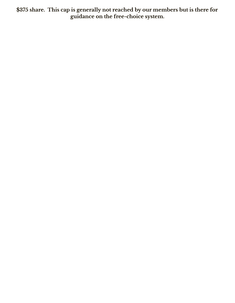**\$375 share. This cap is generally not reached by our members but is there for guidance on the free-choice system.**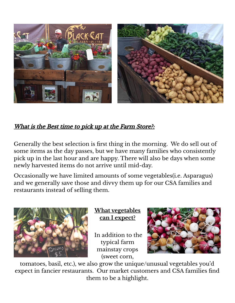

### What is the Best time to pick up at the Farm Store?:

Generally the best selection is first thing in the morning. We do sell out of some items as the day passes, but we have many families who consistently pick up in the last hour and are happy. There will also be days when some newly harvested items do not arrive until mid-day.

Occasionally we have limited amounts of some vegetables(i.e. Asparagus) and we generally save those and divvy them up for our CSA families and restaurants instead of selling them.



#### **What vegetables can I expect?**

In addition to the typical farm mainstay crops (sweet corn,



tomatoes, basil, etc.), we also grow the unique/unusual vegetables you'd expect in fancier restaurants. Our market customers and CSA families find them to be a highlight.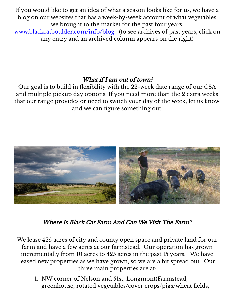If you would like to get an idea of what a season looks like for us, we have a blog on our websites that has a week-by-week account of what vegetables we brought to the market for the past four years.

[www.blackcatboulder.com/info/blog](http://www.blackcatboulder.com/info/blog) (to see archives of past years, click on any entry and an archived column appears on the right)

## What if I am out of town?

Our goal is to build in flexibility with the 22-week date range of our CSA and multiple pickup day options. If you need more than the 2 extra weeks that our range provides or need to switch your day of the week, let us know and we can figure something out.



# Where Is Black Cat Farm And Can We Visit The Farm?

We lease 425 acres of city and county open space and private land for our farm and have a few acres at our farmstead. Our operation has grown incrementally from 10 acres to 425 acres in the past 15 years. We have leased new properties as we have grown, so we are a bit spread out. Our three main properties are at:

1. NW corner of Nelson and 51st, Longmont(Farmstead, greenhouse, rotated vegetables/cover crops/pigs/wheat fields,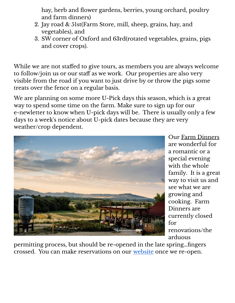hay, herb and flower gardens, berries, young orchard, poultry and farm dinners)

- 2. Jay road & 51st(Farm Store, mill, sheep, grains, hay, and vegetables), and
- 3. SW corner of Oxford and 63rd(rotated vegetables, grains, pigs and cover crops).

While we are not staffed to give tours, as members you are always welcome to follow/join us or our staff as we work. Our properties are also very visible from the road if you want to just drive by or throw the pigs some treats over the fence on a regular basis.

We are planning on some more U-Pick days this season, which is a great way to spend some time on the farm. Make sure to sign up for our e-newletter to know when U-pick days will be. There is usually only a few days to a week's notice about U-pick dates because they are very weather/crop dependent.



Our Farm Dinners are wonderful for a romantic or a special evening with the whole family. It is a great way to visit us and see what we are growing and cooking. Farm Dinners are currently closed for renovations/the

arduous

permitting process, but should be re-opened in the late spring…fingers crossed. You can make reservations on our [website](https://blackcatboulder.com/) once we re-open.